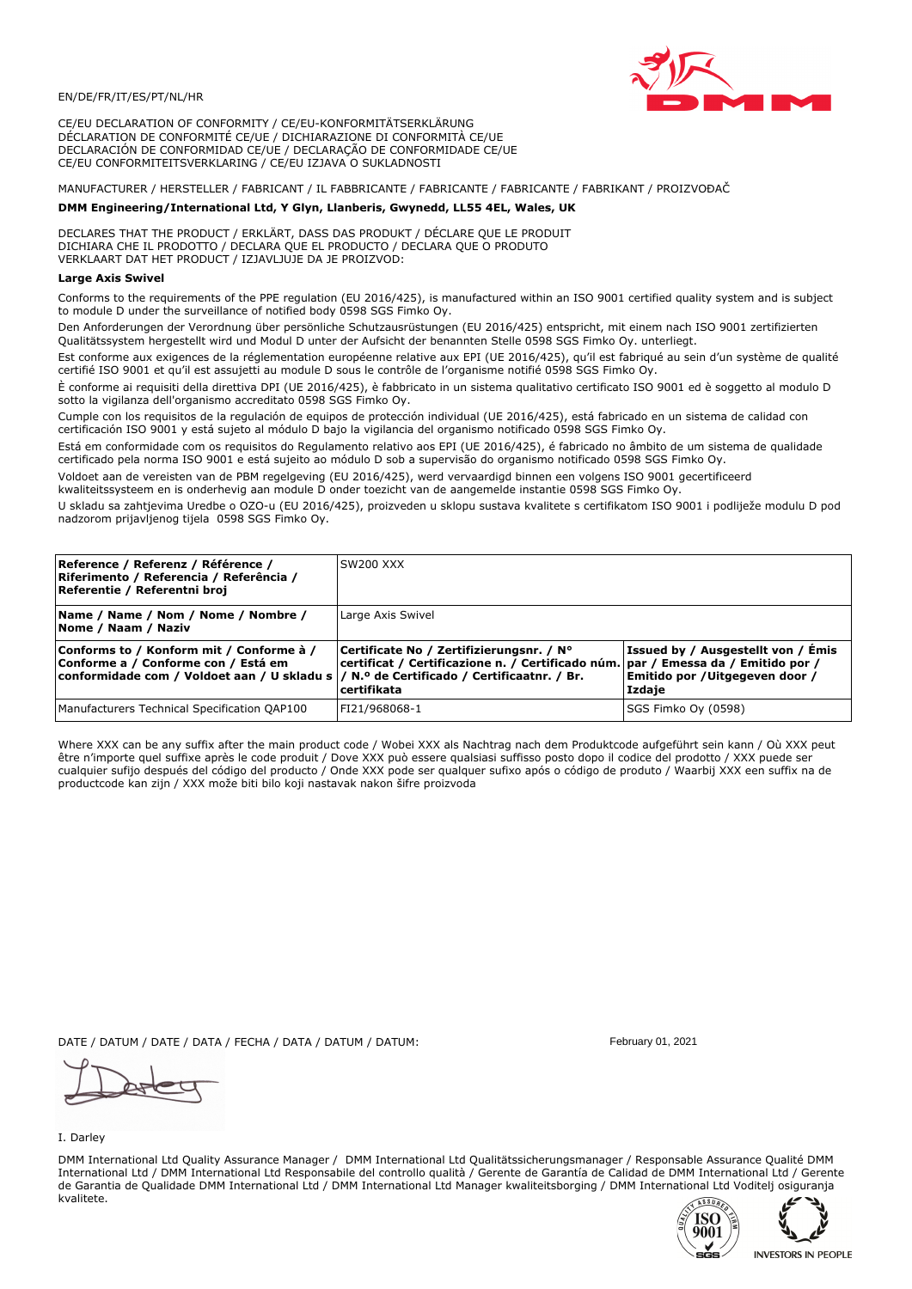

CE/EU DECLARATION OF CONFORMITY / CE/EU-KONFORMITÄTSERKLÄRUNG DÉCLARATION DE CONFORMITÉ CE/UE / DICHIARAZIONE DI CONFORMITÀ CE/UE DECLARACIÓN DE CONFORMIDAD CE/UE / DECLARAÇÃO DE CONFORMIDADE CE/UE CE/EU CONFORMITEITSVERKLARING / CE/EU IZJAVA O SUKLADNOSTI

# MANUFACTURER / HERSTELLER / FABRICANT / IL FABBRICANTE / FABRICANTE / FABRICANTE / FABRIKANT / PROIZVOĐAČ

# DMM Engineering/International Ltd, Y Glyn, Llanberis, Gwynedd, LL55 4EL, Wales, UK

DECLARES THAT THE PRODUCT / ERKLÄRT, DASS DAS PRODUKT / DÉCLARE QUE LE PRODUIT<br>DICHIARA CHE IL PRODOTTO / DECLARA QUE EL PRODUCTO / DECLARA QUE O PRODUTO VERKLAART DAT HET PRODUCT / IZJAVLJUJE DA JE PROIZVOD:

### **Large Axis Swivel**

Conforms to the requirements of the PPE regulation (EU 2016/425), is manufactured within an ISO 9001 certified quality system and is subject to module D under the surveillance of notified body 0598 SGS Fimko Ov.

Den Anforderungen der Verordnung über persönliche Schutzausrüstungen (EU 2016/425) entspricht, mit einem nach ISO 9001 zertifizierten Qualitätssystem hergestellt wird und Modul D unter der Aufsicht der benannten Stelle 0598 SGS Fimko Oy. unterliegt.

Est conforme aux exigences de la réglementation européenne relative aux EPI (UE 2016/425), qu'il est fabriqué au sein d'un système de qualité certifié ISO 9001 et qu'il est assujetti au module D sous le contrôle de l'organisme notifié 0598 SGS Fimko Oy.

È conforme ai requisiti della direttiva DPI (UE 2016/425), è fabbricato in un sistema qualitativo certificato ISO 9001 ed è soggetto al modulo D sotto la vigilanza dell'organismo accreditato 0598 SGS Fimko Oy.

Cumple con los requisitos de la regulación de equipos de protección individual (UE 2016/425), está fabricado en un sistema de calidad con certificación ISO 9001 y está sujeto al módulo D bajo la vigilancia del organismo notificado 0598 SGS Fimko Oy.

Está em conformidade com os requisitos do Regulamento relativo aos EPI (UE 2016/425), é fabricado no âmbito de um sistema de qualidade certificado pela norma ISO 9001 e está sujeito ao módulo D sob a supervisão do organismo notificado 0598 SGS Fimko Oy.

Voldoet aan de vereisten van de PBM regelgeving (EU 2016/425), werd vervaardigd binnen een volgens ISO 9001 gecertificeerd kwaliteitssysteem en is onderhevig aan module D onder toezicht van de aangemelde instantie 0598 SGS Fimko Oy.

U skladu sa zahtjevima Uredbe o OZO-u (EU 2016/425), proizveden u sklopu sustava kvalitete s certifikatom ISO 9001 i podliježe modulu D pod nadzorom prijavljenog tijela 0598 SGS Fimko Oy.

| Reference / Referenz / Référence /<br>Riferimento / Referencia / Referência /<br>Referentie / Referentni broj                                                               | SW200 XXX                                                                                                                                    |                                                                                |
|-----------------------------------------------------------------------------------------------------------------------------------------------------------------------------|----------------------------------------------------------------------------------------------------------------------------------------------|--------------------------------------------------------------------------------|
| Name / Name / Nom / Nome / Nombre /<br>Nome / Naam / Naziv                                                                                                                  | Large Axis Swivel                                                                                                                            |                                                                                |
| Conforms to / Konform mit / Conforme à /<br>Conforme a / Conforme con / Está em<br>conformidade com / Voldoet aan / U skladu s  / N.º de Certificado / Certificaatnr. / Br. | Certificate No / Zertifizierungsnr. / N°<br>certificat / Certificazione n. / Certificado núm. par / Emessa da / Emitido por /<br>certifikata | Issued by / Ausgestellt von / Émis<br>Emitido por /Uitgegeven door /<br>Izdaje |
| Manufacturers Technical Specification QAP100                                                                                                                                | FI21/968068-1                                                                                                                                | SGS Fimko Oy (0598)                                                            |

Where XXX can be any suffix after the main product code / Wobei XXX als Nachtrag nach dem Produktcode aufgeführt sein kann / Où XXX peut être n'importe quel suffixe après le code produit / Dove XXX può essere qualsiasi suffisso posto dopo il codice del prodotto / XXX puede ser<br>cualquier sufijo después del código del producto / Onde XXX pode ser qualquer suf productcode kan zijn / XXX može biti bilo koji nastavak nakon šifre proizvoda

DATE / DATUM / DATE / DATA / FECHA / DATA / DATUM / DATUM:

#### I. Darley

DMM International Ltd Quality Assurance Manager / DMM International Ltd Qualitätssicherungsmanager / Responsable Assurance Qualité DMM International Ltd / DMM International Ltd Responsabile del controllo qualità / Gerente de Garantía de Calidad de DMM International Ltd / Gerente de Garantia de Qualidade DMM International Ltd / DMM International Ltd Manager kwaliteitsborging / DMM International Ltd Voditelj osiguranja kvalitete.





February 01, 2021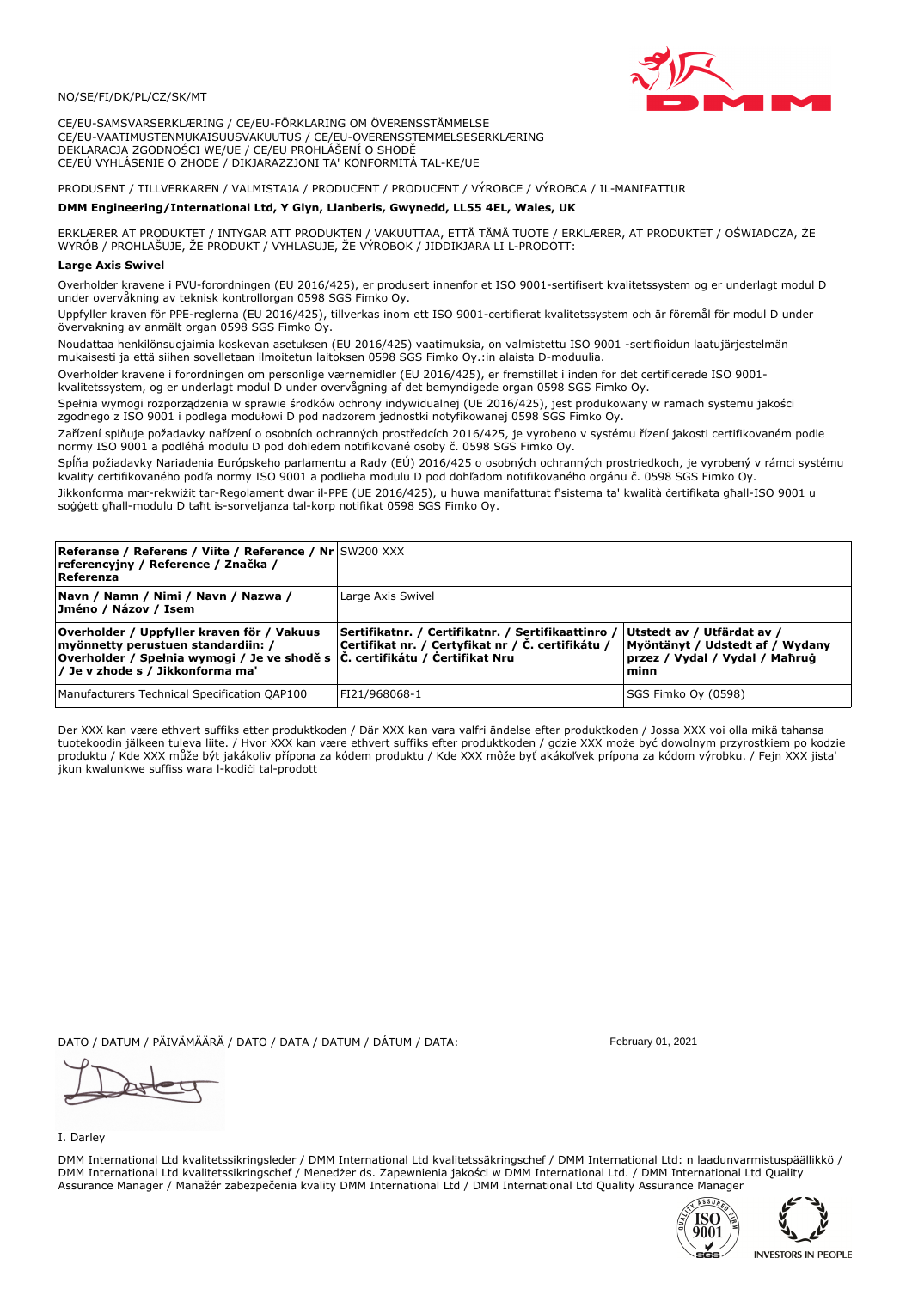

CE/EU-SAMSVARSERKLÆRING / CE/EU-FÖRKLARING OM ÖVERENSSTÄMMELSE CE/EU-VAATIMUSTENMUKAISUUSVAKUUTUS / CE/EU-OVERENSSTEMMELSESERKLÆRING DEKLARACJA ZGODNOŚCI WE/UE / CE/EU PROHLÁŠENÍ O SHODĚ CE/EÚ VYHLÁSENIE O ZHODE / DIKJARAZZJONI TA' KONFORMITÀ TAL-KE/UE

# PRODUSENT / TILLVERKAREN / VALMISTAJA / PRODUCENT / PRODUCENT / VÝROBCE / VÝROBCA / IL-MANIFATTUR

## DMM Engineering/International Ltd, Y Glyn, Llanberis, Gwynedd, LL55 4EL, Wales, UK

ERKLÆRER AT PRODUKTET / INTYGAR ATT PRODUKTEN / VAKUUTTAA, ETTÄ TÄMÄ TUOTE / ERKLÆRER, AT PRODUKTET / OŚWIADCZA, ŻE<br>WYRÓB / PROHLAŠUJE, ŽE PRODUKT / VYHLASUJE, ŽE VÝROBOK / JIDDIKJARA LI L-PRODOTT:

### **Large Axis Swiv**

Overholder kravene i PVU-forordningen (EU 2016/425), er produsert innenfor et ISO 9001-sertifisert kvalitetssystem og er underlagt modul D under overvåkning av teknisk kontrollorgan 0598 SGS Fimko Ov.

Uppfyller kraven för PPE-reglerna (EU 2016/425), tillverkas inom ett ISO 9001-certifierat kvalitetssystem och är föremål för modul D under övervakning av anmält organ 0598 SGS Fimko Oy.

Noudattaa henkilönsuojaimia koskevan asetuksen (EU 2016/425) vaatimuksia, on valmistettu ISO 9001 -sertifioidun laatujärjestelmän mukaisesti ja että siihen sovelletaan ilmoitetun laitoksen 0598 SGS Fimko Oy.:in alaista D-moduulia.

Overholder kravene i forordningen om personlige værnemidler (EU 2016/425), er fremstillet i inden for det certificerede ISO 9001kvalitetssystem, og er underlagt modul D under overvågning af det bemyndigede organ 0598 SGS Fimko Oy.

Spełnia wymogi rozporządzenia w sprawie środków ochrony indywidualnej (UE 2016/425), jest produkowany w ramach systemu jakości zgodnego z ISO 9001 i podlega modułowi D pod nadzorem jednostki notyfikowanej 0598 SGS Fimko Oy.

Zařízení splňuje požadavky nařízení o osobních ochranných prostředcích 2016/425, je vyrobeno v systému řízení jakosti certifikovaném podle normy ISO 9001 a podléhá modulu D pod dohledem notifikované osoby č. 0598 SGS Fimko Oy.

Spĺňa požiadavky Nariadenia Európskeho parlamentu a Rady (EÚ) 2016/425 o osobných ochranných prostriedkoch, je vyrobený v rámci systému kvality certifikovaného podľa normy ISO 9001 a podlieha modulu D pod dohľadom notifikovaného orgánu č. 0598 SGS Fimko Oy.

Jikkonforma mar-rekwiżit tar-Regolament dwar il-PPE (UE 2016/425), u huwa manifatturat f'sistema ta' kwalità certifikata għall-ISO 9001 u soggett ghall-modulu D taht is-sorveljanza tal-korp notifikat 0598 SGS Fimko Oy.

| <b>Referanse / Referens / Viite / Reference / Nr SW200 XXX</b><br>referencyjny / Reference / Značka /<br>Referenza                                                                                                |                                                                                                         |                                                                                                         |
|-------------------------------------------------------------------------------------------------------------------------------------------------------------------------------------------------------------------|---------------------------------------------------------------------------------------------------------|---------------------------------------------------------------------------------------------------------|
| Navn / Namn / Nimi / Navn / Nazwa /<br>Jméno / Názov / Isem                                                                                                                                                       | Large Axis Swivel                                                                                       |                                                                                                         |
| Overholder / Uppfyller kraven för / Vakuus<br>myönnetty perustuen standardiin: /<br> Overholder / Spełnia wymogi / Je ve shodě s $ \tilde{C} $ . certifikátu / Certifikat Nru<br>/ Je v zhode s / Jikkonforma ma' | Sertifikatnr. / Certifikatnr. / Sertifikaattinro /<br>Certifikat nr. / Certyfikat nr / Č. certifikátu / | Utstedt av / Utfärdat av /<br>Myöntänyt / Udstedt af / Wydany<br>przez / Vydal / Vydal / Maħruġ<br>minn |
| Manufacturers Technical Specification QAP100                                                                                                                                                                      | FI21/968068-1                                                                                           | SGS Fimko Oy (0598)                                                                                     |

Der XXX kan være ethvert suffiks etter produktkoden / Där XXX kan vara valfri ändelse efter produktkoden / Jossa XXX voi olla mikä tahansa tuotekoodin jälkeen tuleva liite. / Hvor XXX kan være ethvert suffiks efter produktkoden / gdzie XXX może być dowolnym przyrostkiem po kodzie produktu / Kde XXX může být jakákoliv přípona za kódem produktu / Kde XXX môže byť akákoľvek prípona za kódom výrobku. / Fejn XXX jista jkun kwalunkwe suffiss wara l-kodici tal-prodott

DATO / DATUM / PÄIVÄMÄÄRÄ / DATO / DATA / DATUM / DÁTUM / DATA:

I. Darley

DMM International Ltd kvalitetssikringsleder / DMM International Ltd kvalitetssäkringschef / DMM International Ltd: n laadunvarmistuspäällikkö / DMM International Ltd kvalitetssikringschef / Menedzer ds. Zapewnienia jakości w DMM International Ltd. / DMM International Ltd Quality Assurance Manager / Manažér zabezpečenia kvality DMM International Ltd / DMM International Ltd Quality Assurance Manager



February 01, 2021



**INVESTORS IN PEOPLE**